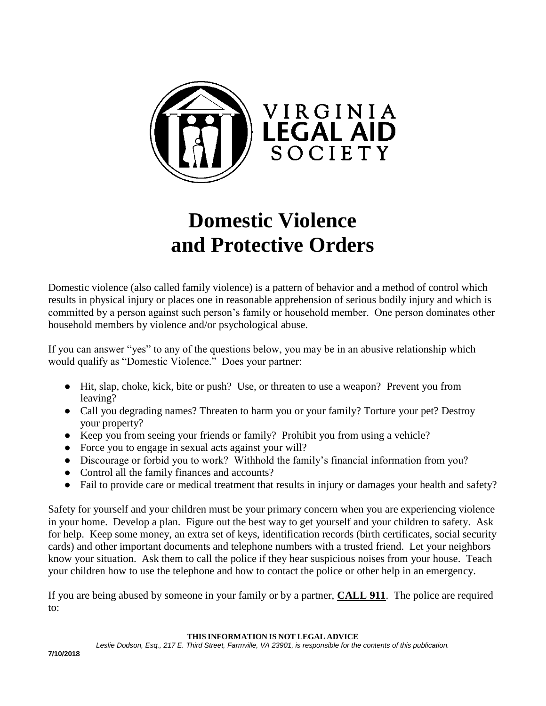

# **Domestic Violence and Protective Orders**

Domestic violence (also called family violence) is a pattern of behavior and a method of control which results in physical injury or places one in reasonable apprehension of serious bodily injury and which is committed by a person against such person's family or household member. One person dominates other household members by violence and/or psychological abuse.

If you can answer "yes" to any of the questions below, you may be in an abusive relationship which would qualify as "Domestic Violence." Does your partner:

- Hit, slap, choke, kick, bite or push? Use, or threaten to use a weapon? Prevent you from leaving?
- Call you degrading names? Threaten to harm you or your family? Torture your pet? Destroy your property?
- Keep you from seeing your friends or family? Prohibit you from using a vehicle?
- Force you to engage in sexual acts against your will?
- Discourage or forbid you to work? Withhold the family's financial information from you?
- Control all the family finances and accounts?
- Fail to provide care or medical treatment that results in injury or damages your health and safety?

Safety for yourself and your children must be your primary concern when you are experiencing violence in your home. Develop a plan. Figure out the best way to get yourself and your children to safety. Ask for help. Keep some money, an extra set of keys, identification records (birth certificates, social security cards) and other important documents and telephone numbers with a trusted friend. Let your neighbors know your situation. Ask them to call the police if they hear suspicious noises from your house. Teach your children how to use the telephone and how to contact the police or other help in an emergency.

If you are being abused by someone in your family or by a partner, **CALL 911**. The police are required to:

**THIS INFORMATION IS NOT LEGAL ADVICE**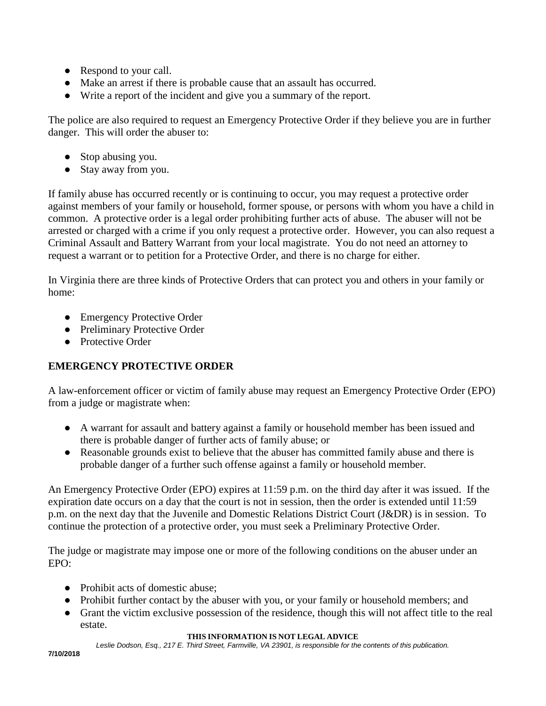- Respond to your call.
- Make an arrest if there is probable cause that an assault has occurred.
- Write a report of the incident and give you a summary of the report.

The police are also required to request an Emergency Protective Order if they believe you are in further danger. This will order the abuser to:

- Stop abusing you.
- Stay away from you.

If family abuse has occurred recently or is continuing to occur, you may request a protective order against members of your family or household, former spouse, or persons with whom you have a child in common. A protective order is a legal order prohibiting further acts of abuse. The abuser will not be arrested or charged with a crime if you only request a protective order. However, you can also request a Criminal Assault and Battery Warrant from your local magistrate. You do not need an attorney to request a warrant or to petition for a Protective Order, and there is no charge for either.

In Virginia there are three kinds of Protective Orders that can protect you and others in your family or home:

- Emergency Protective Order
- Preliminary Protective Order
- Protective Order

# **EMERGENCY PROTECTIVE ORDER**

A law-enforcement officer or victim of family abuse may request an Emergency Protective Order (EPO) from a judge or magistrate when:

- A warrant for assault and battery against a family or household member has been issued and there is probable danger of further acts of family abuse; or
- Reasonable grounds exist to believe that the abuser has committed family abuse and there is probable danger of a further such offense against a family or household member.

An Emergency Protective Order (EPO) expires at 11:59 p.m. on the third day after it was issued. If the expiration date occurs on a day that the court is not in session, then the order is extended until 11:59 p.m. on the next day that the Juvenile and Domestic Relations District Court (J&DR) is in session. To continue the protection of a protective order, you must seek a Preliminary Protective Order.

The judge or magistrate may impose one or more of the following conditions on the abuser under an EPO:

- Prohibit acts of domestic abuse;
- Prohibit further contact by the abuser with you, or your family or household members; and
- Grant the victim exclusive possession of the residence, though this will not affect title to the real estate.

#### **THIS INFORMATION IS NOT LEGAL ADVICE**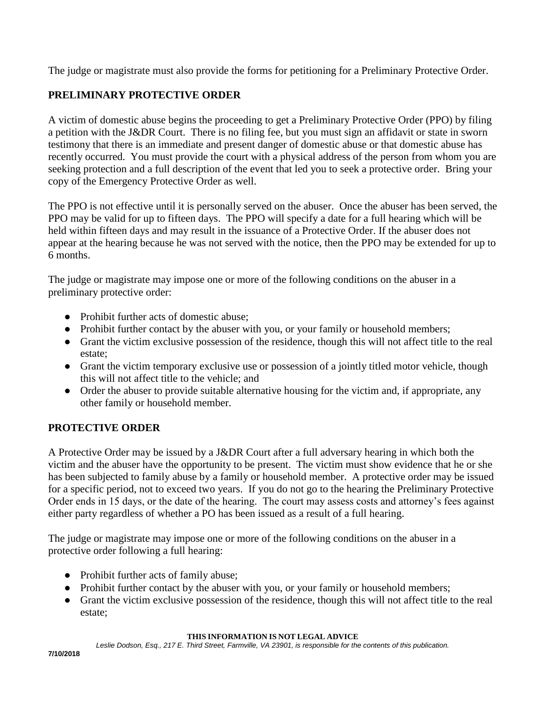The judge or magistrate must also provide the forms for petitioning for a Preliminary Protective Order.

### **PRELIMINARY PROTECTIVE ORDER**

A victim of domestic abuse begins the proceeding to get a Preliminary Protective Order (PPO) by filing a petition with the J&DR Court. There is no filing fee, but you must sign an affidavit or state in sworn testimony that there is an immediate and present danger of domestic abuse or that domestic abuse has recently occurred. You must provide the court with a physical address of the person from whom you are seeking protection and a full description of the event that led you to seek a protective order. Bring your copy of the Emergency Protective Order as well.

The PPO is not effective until it is personally served on the abuser. Once the abuser has been served, the PPO may be valid for up to fifteen days. The PPO will specify a date for a full hearing which will be held within fifteen days and may result in the issuance of a Protective Order. If the abuser does not appear at the hearing because he was not served with the notice, then the PPO may be extended for up to 6 months.

The judge or magistrate may impose one or more of the following conditions on the abuser in a preliminary protective order:

- Prohibit further acts of domestic abuse;
- Prohibit further contact by the abuser with you, or your family or household members;
- Grant the victim exclusive possession of the residence, though this will not affect title to the real estate;
- Grant the victim temporary exclusive use or possession of a jointly titled motor vehicle, though this will not affect title to the vehicle; and
- Order the abuser to provide suitable alternative housing for the victim and, if appropriate, any other family or household member.

#### **PROTECTIVE ORDER**

A Protective Order may be issued by a J&DR Court after a full adversary hearing in which both the victim and the abuser have the opportunity to be present. The victim must show evidence that he or she has been subjected to family abuse by a family or household member. A protective order may be issued for a specific period, not to exceed two years. If you do not go to the hearing the Preliminary Protective Order ends in 15 days, or the date of the hearing. The court may assess costs and attorney's fees against either party regardless of whether a PO has been issued as a result of a full hearing.

The judge or magistrate may impose one or more of the following conditions on the abuser in a protective order following a full hearing:

- Prohibit further acts of family abuse;
- Prohibit further contact by the abuser with you, or your family or household members;
- Grant the victim exclusive possession of the residence, though this will not affect title to the real estate;

#### **THIS INFORMATION IS NOT LEGAL ADVICE**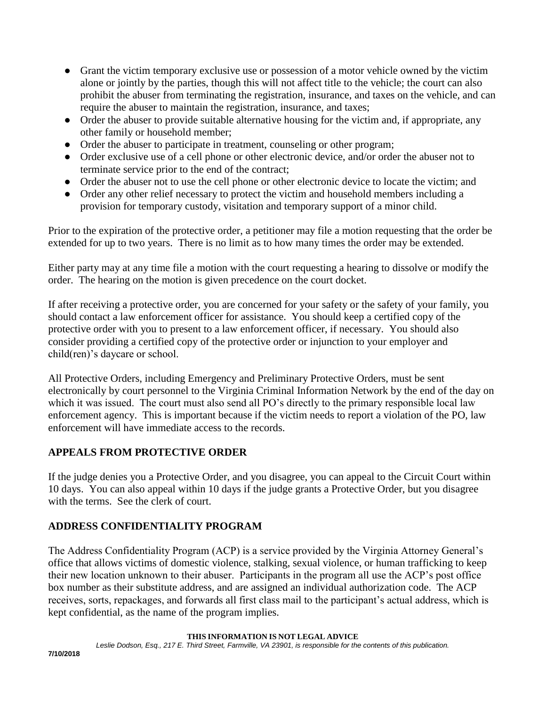- Grant the victim temporary exclusive use or possession of a motor vehicle owned by the victim alone or jointly by the parties, though this will not affect title to the vehicle; the court can also prohibit the abuser from terminating the registration, insurance, and taxes on the vehicle, and can require the abuser to maintain the registration, insurance, and taxes;
- Order the abuser to provide suitable alternative housing for the victim and, if appropriate, any other family or household member;
- Order the abuser to participate in treatment, counseling or other program;
- Order exclusive use of a cell phone or other electronic device, and/or order the abuser not to terminate service prior to the end of the contract;
- Order the abuser not to use the cell phone or other electronic device to locate the victim; and
- Order any other relief necessary to protect the victim and household members including a provision for temporary custody, visitation and temporary support of a minor child.

Prior to the expiration of the protective order, a petitioner may file a motion requesting that the order be extended for up to two years. There is no limit as to how many times the order may be extended.

Either party may at any time file a motion with the court requesting a hearing to dissolve or modify the order. The hearing on the motion is given precedence on the court docket.

If after receiving a protective order, you are concerned for your safety or the safety of your family, you should contact a law enforcement officer for assistance. You should keep a certified copy of the protective order with you to present to a law enforcement officer, if necessary. You should also consider providing a certified copy of the protective order or injunction to your employer and child(ren)'s daycare or school.

All Protective Orders, including Emergency and Preliminary Protective Orders, must be sent electronically by court personnel to the Virginia Criminal Information Network by the end of the day on which it was issued. The court must also send all PO's directly to the primary responsible local law enforcement agency. This is important because if the victim needs to report a violation of the PO, law enforcement will have immediate access to the records.

# **APPEALS FROM PROTECTIVE ORDER**

If the judge denies you a Protective Order, and you disagree, you can appeal to the Circuit Court within 10 days. You can also appeal within 10 days if the judge grants a Protective Order, but you disagree with the terms. See the clerk of court.

# **ADDRESS CONFIDENTIALITY PROGRAM**

The Address Confidentiality Program (ACP) is a service provided by the Virginia Attorney General's office that allows victims of domestic violence, stalking, sexual violence, or human trafficking to keep their new location unknown to their abuser. Participants in the program all use the ACP's post office box number as their substitute address, and are assigned an individual authorization code. The ACP receives, sorts, repackages, and forwards all first class mail to the participant's actual address, which is kept confidential, as the name of the program implies.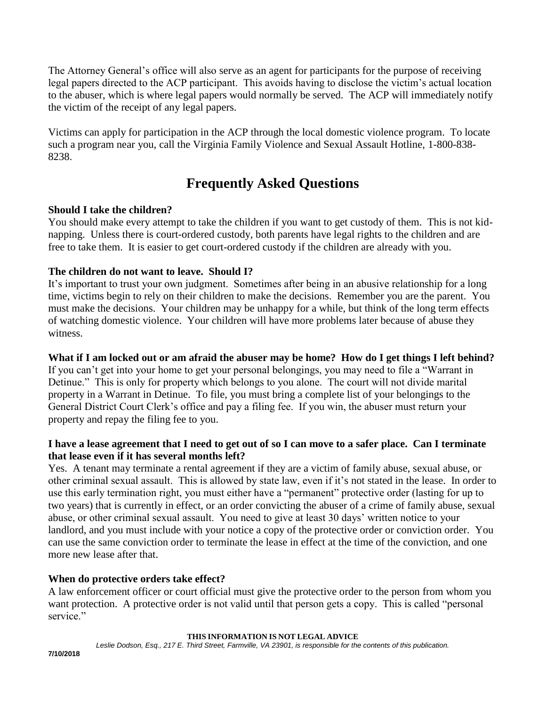The Attorney General's office will also serve as an agent for participants for the purpose of receiving legal papers directed to the ACP participant. This avoids having to disclose the victim's actual location to the abuser, which is where legal papers would normally be served. The ACP will immediately notify the victim of the receipt of any legal papers.

Victims can apply for participation in the ACP through the local domestic violence program. To locate such a program near you, call the Virginia Family Violence and Sexual Assault Hotline, 1-800-838- 8238.

# **Frequently Asked Questions**

#### **Should I take the children?**

You should make every attempt to take the children if you want to get custody of them. This is not kidnapping. Unless there is court-ordered custody, both parents have legal rights to the children and are free to take them. It is easier to get court-ordered custody if the children are already with you.

#### **The children do not want to leave. Should I?**

It's important to trust your own judgment. Sometimes after being in an abusive relationship for a long time, victims begin to rely on their children to make the decisions. Remember you are the parent. You must make the decisions. Your children may be unhappy for a while, but think of the long term effects of watching domestic violence. Your children will have more problems later because of abuse they witness.

#### **What if I am locked out or am afraid the abuser may be home? How do I get things I left behind?**

If you can't get into your home to get your personal belongings, you may need to file a "Warrant in Detinue." This is only for property which belongs to you alone. The court will not divide marital property in a Warrant in Detinue. To file, you must bring a complete list of your belongings to the General District Court Clerk's office and pay a filing fee. If you win, the abuser must return your property and repay the filing fee to you.

#### **I have a lease agreement that I need to get out of so I can move to a safer place. Can I terminate that lease even if it has several months left?**

Yes. A tenant may terminate a rental agreement if they are a victim of family abuse, sexual abuse, or other criminal sexual assault. This is allowed by state law, even if it's not stated in the lease. In order to use this early termination right, you must either have a "permanent" protective order (lasting for up to two years) that is currently in effect, or an order convicting the abuser of a crime of family abuse, sexual abuse, or other criminal sexual assault. You need to give at least 30 days' written notice to your landlord, and you must include with your notice a copy of the protective order or conviction order. You can use the same conviction order to terminate the lease in effect at the time of the conviction, and one more new lease after that.

#### **When do protective orders take effect?**

A law enforcement officer or court official must give the protective order to the person from whom you want protection. A protective order is not valid until that person gets a copy. This is called "personal service."

**THIS INFORMATION IS NOT LEGAL ADVICE**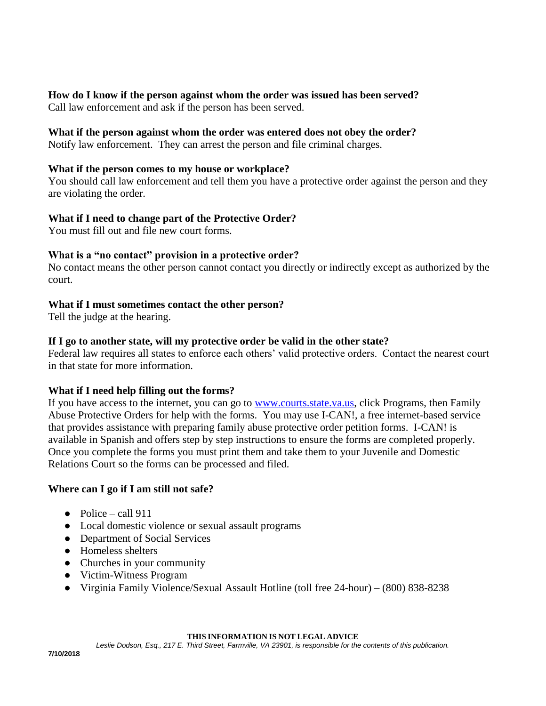**How do I know if the person against whom the order was issued has been served?** Call law enforcement and ask if the person has been served.

#### **What if the person against whom the order was entered does not obey the order?**

Notify law enforcement. They can arrest the person and file criminal charges.

#### **What if the person comes to my house or workplace?**

You should call law enforcement and tell them you have a protective order against the person and they are violating the order.

#### **What if I need to change part of the Protective Order?**

You must fill out and file new court forms.

#### **What is a "no contact" provision in a protective order?**

No contact means the other person cannot contact you directly or indirectly except as authorized by the court.

#### **What if I must sometimes contact the other person?**

Tell the judge at the hearing.

#### **If I go to another state, will my protective order be valid in the other state?**

Federal law requires all states to enforce each others' valid protective orders. Contact the nearest court in that state for more information.

#### **What if I need help filling out the forms?**

If you have access to the internet, you can go to [www.courts.state.va.us,](http://www.courts.state.va.us/) click Programs, then Family Abuse Protective Orders for help with the forms. You may use I-CAN!, a free internet-based service that provides assistance with preparing family abuse protective order petition forms. I-CAN! is available in Spanish and offers step by step instructions to ensure the forms are completed properly. Once you complete the forms you must print them and take them to your Juvenile and Domestic Relations Court so the forms can be processed and filed.

#### **Where can I go if I am still not safe?**

- $\bullet$  Police call 911
- Local domestic violence or sexual assault programs
- Department of Social Services
- Homeless shelters
- Churches in your community
- Victim-Witness Program
- Virginia Family Violence/Sexual Assault Hotline (toll free 24-hour) (800) 838-8238

#### **THIS INFORMATION IS NOT LEGAL ADVICE**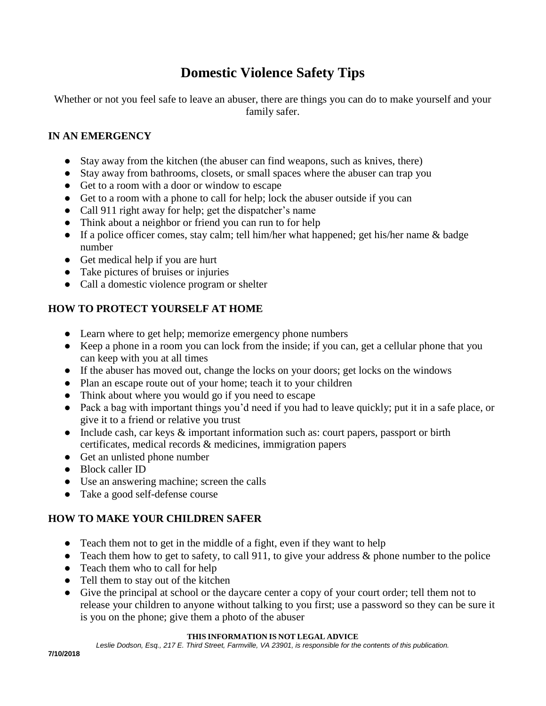# **Domestic Violence Safety Tips**

Whether or not you feel safe to leave an abuser, there are things you can do to make yourself and your family safer.

#### **IN AN EMERGENCY**

- Stay away from the kitchen (the abuser can find weapons, such as knives, there)
- Stay away from bathrooms, closets, or small spaces where the abuser can trap you
- Get to a room with a door or window to escape
- Get to a room with a phone to call for help; lock the abuser outside if you can
- Call 911 right away for help; get the dispatcher's name
- Think about a neighbor or friend you can run to for help
- If a police officer comes, stay calm; tell him/her what happened; get his/her name & badge number
- Get medical help if you are hurt
- Take pictures of bruises or injuries
- Call a domestic violence program or shelter

#### **HOW TO PROTECT YOURSELF AT HOME**

- Learn where to get help; memorize emergency phone numbers
- Keep a phone in a room you can lock from the inside; if you can, get a cellular phone that you can keep with you at all times
- If the abuser has moved out, change the locks on your doors; get locks on the windows
- Plan an escape route out of your home; teach it to your children
- Think about where you would go if you need to escape
- Pack a bag with important things you'd need if you had to leave quickly; put it in a safe place, or give it to a friend or relative you trust
- Include cash, car keys & important information such as: court papers, passport or birth certificates, medical records & medicines, immigration papers
- Get an unlisted phone number
- Block caller ID
- Use an answering machine; screen the calls
- Take a good self-defense course

#### **HOW TO MAKE YOUR CHILDREN SAFER**

- Teach them not to get in the middle of a fight, even if they want to help
- Teach them how to get to safety, to call 911, to give your address  $\&$  phone number to the police
- Teach them who to call for help
- Tell them to stay out of the kitchen
- Give the principal at school or the daycare center a copy of your court order; tell them not to release your children to anyone without talking to you first; use a password so they can be sure it is you on the phone; give them a photo of the abuser

#### **THIS INFORMATION IS NOT LEGAL ADVICE**